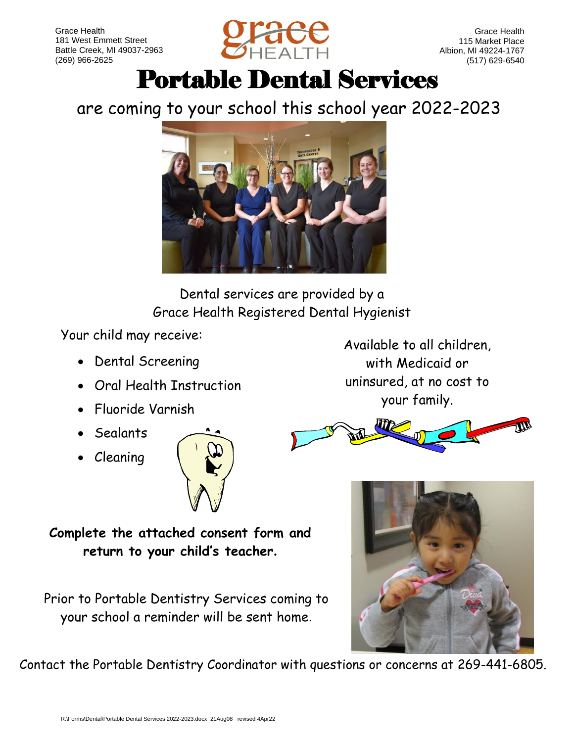

Grace Health 115 Market Place Albion, MI 49224-1767 (517) 629-6540

# Portable Dental Services

## are coming to your school this school year 2022-2023



Dental services are provided by a Grace Health Registered Dental Hygienist

Your child may receive:

- Dental Screening
- Oral Health Instruction
- Fluoride Varnish
- Sealants
- Cleaning



Available to all children, with Medicaid or uninsured, at no cost to your family.



**Complete the attached consent form and return to your child's teacher.**

Prior to Portable Dentistry Services coming to your school a reminder will be sent home.



Contact the Portable Dentistry Coordinator with questions or concerns at 269-441-6805.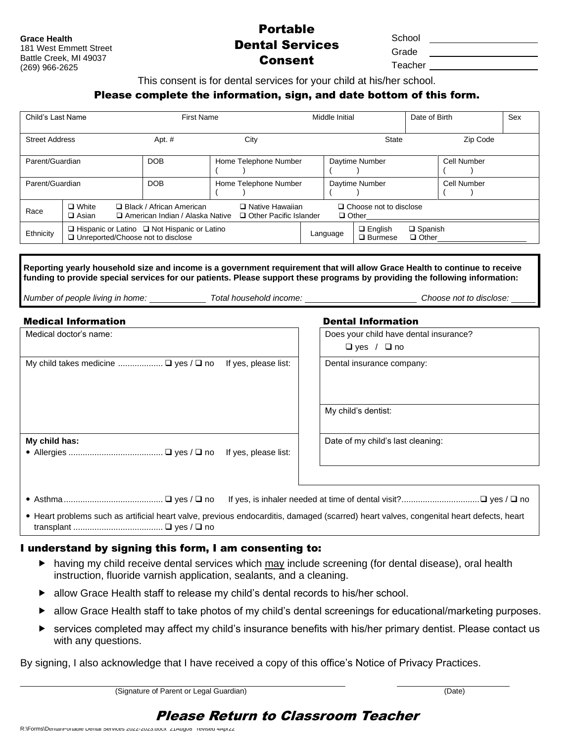**Grace Health** 181 West Emmett Street Battle Creek, MI 49037 (269) 966-2625

### Portable Dental Services Consent

**School** 

Grade Teacher

This consent is for dental services for your child at his/her school.

#### Please complete the information, sign, and date bottom of this form.

| Child's Last Name     |                                                                                                                                                  |  | <b>First Name</b> |                       |  | Middle Initial |                                     |                                   | Date of Birth |             | Sex |
|-----------------------|--------------------------------------------------------------------------------------------------------------------------------------------------|--|-------------------|-----------------------|--|----------------|-------------------------------------|-----------------------------------|---------------|-------------|-----|
| <b>Street Address</b> |                                                                                                                                                  |  | Apt. $#$          | City                  |  |                | <b>State</b>                        |                                   | Zip Code      |             |     |
| Parent/Guardian       |                                                                                                                                                  |  | <b>DOB</b>        | Home Telephone Number |  |                | Daytime Number                      |                                   |               | Cell Number |     |
| Parent/Guardian       |                                                                                                                                                  |  | <b>DOB</b>        | Home Telephone Number |  |                | Daytime Number                      |                                   |               | Cell Number |     |
| Race                  | □ Black / African American<br>$\Box$ White<br>□ Native Hawaiian<br>$\Box$ Asian<br>□ Other Pacific Islander<br>□ American Indian / Alaska Native |  |                   |                       |  |                | $\Box$ Other                        | $\Box$ Choose not to disclose     |               |             |     |
| Ethnicity             | $\Box$ Hispanic or Latino $\Box$ Not Hispanic or Latino<br>□ Unreported/Choose not to disclose                                                   |  |                   |                       |  | Language       | $\Box$ English<br>$\square$ Burmese | $\square$ Spanish<br>$\Box$ Other |               |             |     |

| Reporting yearly household size and income is a government requirement that will allow Grace Health to continue to receive<br>funding to provide special services for our patients. Please support these programs by providing the following information: |                                                                  |  |  |  |  |  |  |  |
|-----------------------------------------------------------------------------------------------------------------------------------------------------------------------------------------------------------------------------------------------------------|------------------------------------------------------------------|--|--|--|--|--|--|--|
| Number of people living in home: ________________ Total household income: __________________________                                                                                                                                                      | Choose not to disclose:                                          |  |  |  |  |  |  |  |
| <b>Medical Information</b>                                                                                                                                                                                                                                | <b>Dental Information</b>                                        |  |  |  |  |  |  |  |
| Medical doctor's name:                                                                                                                                                                                                                                    | Does your child have dental insurance?<br>$\Box$ yes / $\Box$ no |  |  |  |  |  |  |  |
| My child takes medicine $\Box$ yes / $\Box$ no<br>If yes, please list:                                                                                                                                                                                    | Dental insurance company:                                        |  |  |  |  |  |  |  |
|                                                                                                                                                                                                                                                           | My child's dentist:                                              |  |  |  |  |  |  |  |
| My child has:<br>If yes, please list:                                                                                                                                                                                                                     | Date of my child's last cleaning:                                |  |  |  |  |  |  |  |
|                                                                                                                                                                                                                                                           |                                                                  |  |  |  |  |  |  |  |

- Asthma.......................................... ❑ yes / ❑ no If yes, is inhaler needed at time of dental visit?.................................❑ yes / ❑ no
- Heart problems such as artificial heart valve, previous endocarditis, damaged (scarred) heart valves, congenital heart defects, heart transplant ...................................... ❑ yes / ❑ no

### I understand by signing this form, I am consenting to:

- having my child receive dental services which may include screening (for dental disease), oral health instruction, fluoride varnish application, sealants, and a cleaning.
- ▶ allow Grace Health staff to release my child's dental records to his/her school.
- ▶ allow Grace Health staff to take photos of my child's dental screenings for educational/marketing purposes.
- services completed may affect my child's insurance benefits with his/her primary dentist. Please contact us with any questions.

By signing, I also acknowledge that I have received a copy of this office's Notice of Privacy Practices.

\_\_\_\_\_\_\_\_\_\_\_\_\_\_\_\_\_\_\_\_\_\_\_\_\_\_\_\_\_\_\_\_\_\_\_\_\_\_\_\_\_\_\_\_\_\_\_\_\_\_\_\_\_\_\_\_\_\_\_\_\_\_\_\_\_\_\_\_\_\_\_\_\_\_\_\_\_\_ \_\_\_\_\_\_\_\_\_\_\_\_\_\_\_\_\_\_\_\_\_\_\_\_\_\_\_ (Signature of Parent or Legal Guardian) (Date)

### Please Return to Classroom Teacher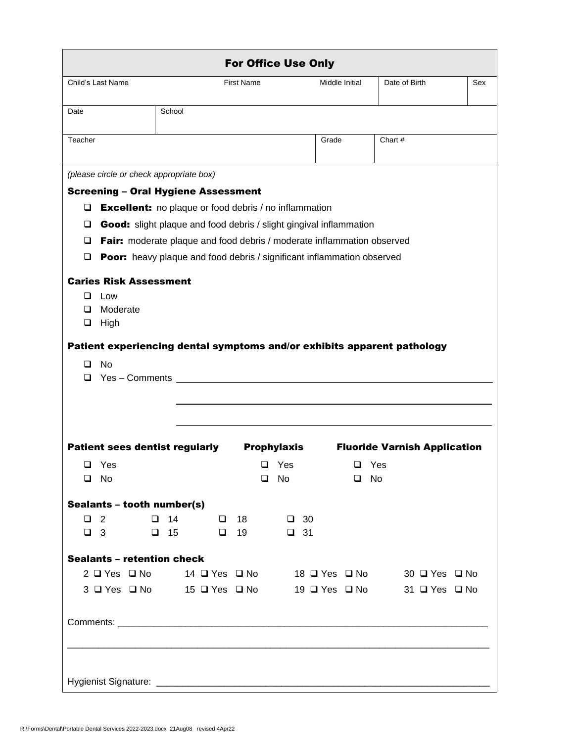|         |                                                                                    |           |           |                   | <b>For Office Use Only</b>  |                       |              |                                                                         |     |
|---------|------------------------------------------------------------------------------------|-----------|-----------|-------------------|-----------------------------|-----------------------|--------------|-------------------------------------------------------------------------|-----|
|         | Child's Last Name                                                                  |           |           | <b>First Name</b> |                             | <b>Middle Initial</b> |              | Date of Birth                                                           | Sex |
| Date    |                                                                                    | School    |           |                   |                             |                       |              |                                                                         |     |
| Teacher |                                                                                    |           |           |                   |                             | Grade                 |              | Chart #                                                                 |     |
|         |                                                                                    |           |           |                   |                             |                       |              |                                                                         |     |
|         | (please circle or check appropriate box)                                           |           |           |                   |                             |                       |              |                                                                         |     |
|         | <b>Screening - Oral Hygiene Assessment</b>                                         |           |           |                   |                             |                       |              |                                                                         |     |
| ⊔       | <b>Excellent:</b> no plaque or food debris / no inflammation                       |           |           |                   |                             |                       |              |                                                                         |     |
| ⊔       | Good: slight plaque and food debris / slight gingival inflammation                 |           |           |                   |                             |                       |              |                                                                         |     |
| ❏       | Fair: moderate plaque and food debris / moderate inflammation observed             |           |           |                   |                             |                       |              |                                                                         |     |
| ⊔       | <b>Poor:</b> heavy plaque and food debris / significant inflammation observed      |           |           |                   |                             |                       |              |                                                                         |     |
|         | <b>Caries Risk Assessment</b>                                                      |           |           |                   |                             |                       |              |                                                                         |     |
| ப       | Low                                                                                |           |           |                   |                             |                       |              |                                                                         |     |
| ◻       | Moderate                                                                           |           |           |                   |                             |                       |              |                                                                         |     |
| ❏       | High                                                                               |           |           |                   |                             |                       |              |                                                                         |     |
|         |                                                                                    |           |           |                   |                             |                       |              | Patient experiencing dental symptoms and/or exhibits apparent pathology |     |
| ◻       | No                                                                                 |           |           |                   |                             |                       |              |                                                                         |     |
|         | $\Box$ Yes - Comments                                                              |           |           |                   |                             |                       |              |                                                                         |     |
|         |                                                                                    |           |           |                   |                             |                       |              |                                                                         |     |
|         |                                                                                    |           |           |                   |                             |                       |              |                                                                         |     |
|         | <b>Patient sees dentist regularly</b>                                              |           |           |                   | <b>Prophylaxis</b>          |                       |              | <b>Fluoride Varnish Application</b>                                     |     |
| ⊔       | Yes                                                                                |           |           | ❏                 | Yes                         |                       | ⊔            | Yes                                                                     |     |
|         | $\Box$ No                                                                          |           |           | ❏                 | No                          |                       | $\square$ No |                                                                         |     |
|         |                                                                                    |           |           |                   |                             |                       |              |                                                                         |     |
|         | Sealants - tooth number(s)                                                         |           |           |                   |                             |                       |              |                                                                         |     |
|         | $\Box$ 2<br>$\begin{array}{ccccccccccccccccc}\Box&3&&&&\Box&15&&&&\Box\end{array}$ | $\Box$ 14 | $\Box$ 18 |                   | $\Box$ 30<br>$19$ $\Box$ 31 |                       |              |                                                                         |     |
|         |                                                                                    |           |           |                   |                             |                       |              |                                                                         |     |
|         | <b>Sealants - retention check</b>                                                  |           |           |                   |                             |                       |              |                                                                         |     |
|         |                                                                                    |           |           |                   |                             |                       |              | 2 LI Yes LI No 14 LI Yes LI No 18 LI Yes LI No 30 LI Yes LI No          |     |
|         | 3 □ Yes □ No 15 □ Yes □ No                                                         |           |           |                   |                             |                       |              | 19 Ω Yes Ω No 31 Ω Yes Ω No                                             |     |
|         |                                                                                    |           |           |                   |                             |                       |              |                                                                         |     |
|         |                                                                                    |           |           |                   |                             |                       |              |                                                                         |     |
|         |                                                                                    |           |           |                   |                             |                       |              |                                                                         |     |
|         |                                                                                    |           |           |                   |                             |                       |              |                                                                         |     |
|         |                                                                                    |           |           |                   |                             |                       |              |                                                                         |     |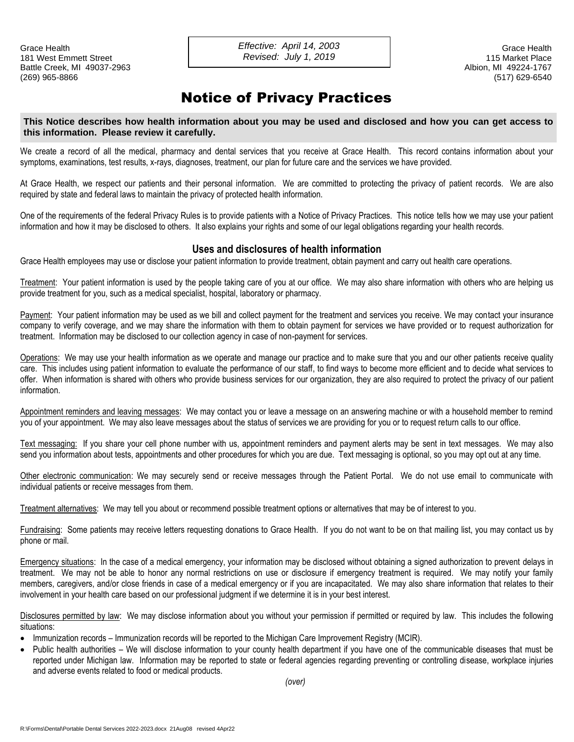Grace Health Grace Health *Effective: April 14, 2003* 181 West Emmett Street 115 Market Place *Revised: July 1, 2019*Battle Creek, MI 49037-2963 **Albion, MI 49024-1767** Albion, MI 49224-1767 (269) 965-8866 (517) 629-6540

### Notice of Privacy Practices

#### **This Notice describes how health information about you may be used and disclosed and how you can get access to this information. Please review it carefully.**

We create a record of all the medical, pharmacy and dental services that you receive at Grace Health. This record contains information about your symptoms, examinations, test results, x-rays, diagnoses, treatment, our plan for future care and the services we have provided.

At Grace Health, we respect our patients and their personal information. We are committed to protecting the privacy of patient records. We are also required by state and federal laws to maintain the privacy of protected health information.

One of the requirements of the federal Privacy Rules is to provide patients with a Notice of Privacy Practices. This notice tells how we may use your patient information and how it may be disclosed to others. It also explains your rights and some of our legal obligations regarding your health records.

#### **Uses and disclosures of health information**

Grace Health employees may use or disclose your patient information to provide treatment, obtain payment and carry out health care operations.

Treatment: Your patient information is used by the people taking care of you at our office. We may also share information with others who are helping us provide treatment for you, such as a medical specialist, hospital, laboratory or pharmacy.

Payment: Your patient information may be used as we bill and collect payment for the treatment and services you receive. We may contact your insurance company to verify coverage, and we may share the information with them to obtain payment for services we have provided or to request authorization for treatment. Information may be disclosed to our collection agency in case of non-payment for services.

Operations: We may use your health information as we operate and manage our practice and to make sure that you and our other patients receive quality care. This includes using patient information to evaluate the performance of our staff, to find ways to become more efficient and to decide what services to offer. When information is shared with others who provide business services for our organization, they are also required to protect the privacy of our patient information.

Appointment reminders and leaving messages: We may contact you or leave a message on an answering machine or with a household member to remind you of your appointment. We may also leave messages about the status of services we are providing for you or to request return calls to our office.

Text messaging: If you share your cell phone number with us, appointment reminders and payment alerts may be sent in text messages. We may also send you information about tests, appointments and other procedures for which you are due. Text messaging is optional, so you may opt out at any time.

Other electronic communication: We may securely send or receive messages through the Patient Portal. We do not use email to communicate with individual patients or receive messages from them.

Treatment alternatives: We may tell you about or recommend possible treatment options or alternatives that may be of interest to you.

Fundraising: Some patients may receive letters requesting donations to Grace Health. If you do not want to be on that mailing list, you may contact us by phone or mail.

Emergency situations: In the case of a medical emergency, your information may be disclosed without obtaining a signed authorization to prevent delays in treatment. We may not be able to honor any normal restrictions on use or disclosure if emergency treatment is required. We may notify your family members, caregivers, and/or close friends in case of a medical emergency or if you are incapacitated. We may also share information that relates to their involvement in your health care based on our professional judgment if we determine it is in your best interest.

Disclosures permitted by law: We may disclose information about you without your permission if permitted or required by law. This includes the following situations:

- Immunization records Immunization records will be reported to the Michigan Care Improvement Registry (MCIR).
- Public health authorities We will disclose information to your county health department if you have one of the communicable diseases that must be reported under Michigan law. Information may be reported to state or federal agencies regarding preventing or controlling disease, workplace injuries and adverse events related to food or medical products.